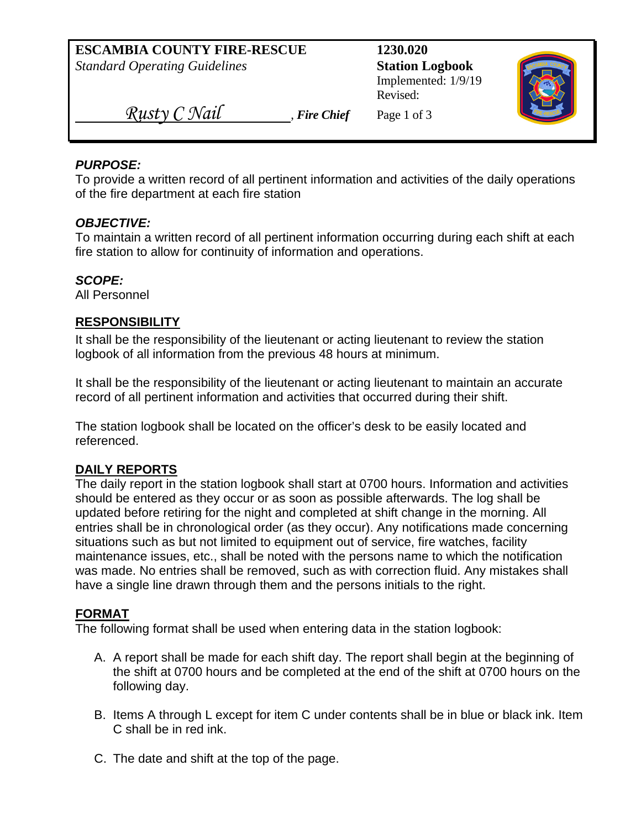# **ESCAMBIA COUNTY FIRE-RESCUE 1230.020**

*Standard Operating Guidelines* **Station Logbook**

Implemented: 1/9/19 Revised:



*Rusty C Nail* Fire Chief Page 1 of 3

#### *PURPOSE:*

To provide a written record of all pertinent information and activities of the daily operations of the fire department at each fire station

# *OBJECTIVE:*

To maintain a written record of all pertinent information occurring during each shift at each fire station to allow for continuity of information and operations.

# *SCOPE:*

All Personnel

#### **RESPONSIBILITY**

It shall be the responsibility of the lieutenant or acting lieutenant to review the station logbook of all information from the previous 48 hours at minimum.

It shall be the responsibility of the lieutenant or acting lieutenant to maintain an accurate record of all pertinent information and activities that occurred during their shift.

The station logbook shall be located on the officer's desk to be easily located and referenced.

# **DAILY REPORTS**

The daily report in the station logbook shall start at 0700 hours. Information and activities should be entered as they occur or as soon as possible afterwards. The log shall be updated before retiring for the night and completed at shift change in the morning. All entries shall be in chronological order (as they occur). Any notifications made concerning situations such as but not limited to equipment out of service, fire watches, facility maintenance issues, etc., shall be noted with the persons name to which the notification was made. No entries shall be removed, such as with correction fluid. Any mistakes shall have a single line drawn through them and the persons initials to the right.

# **FORMAT**

The following format shall be used when entering data in the station logbook:

- A. A report shall be made for each shift day. The report shall begin at the beginning of the shift at 0700 hours and be completed at the end of the shift at 0700 hours on the following day.
- B. Items A through L except for item C under contents shall be in blue or black ink. Item C shall be in red ink.
- C. The date and shift at the top of the page.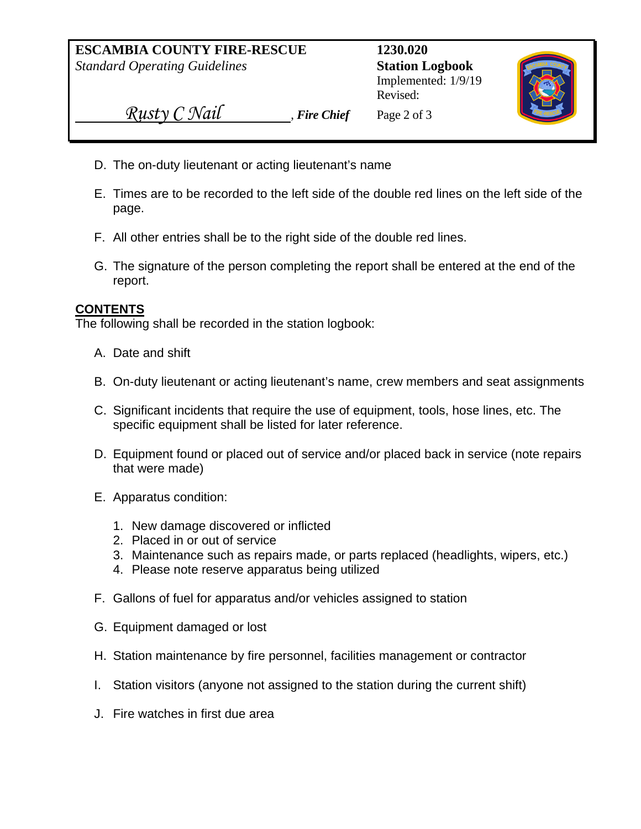Implemented: 1/9/19 Revised:



 *Rusty C Nail* , *Fire Chief* Page 2 of 3

- D. The on-duty lieutenant or acting lieutenant's name
- E. Times are to be recorded to the left side of the double red lines on the left side of the page.
- F. All other entries shall be to the right side of the double red lines.
- G. The signature of the person completing the report shall be entered at the end of the report.

# **CONTENTS**

The following shall be recorded in the station logbook:

- A. Date and shift
- B. On-duty lieutenant or acting lieutenant's name, crew members and seat assignments
- C. Significant incidents that require the use of equipment, tools, hose lines, etc. The specific equipment shall be listed for later reference.
- D. Equipment found or placed out of service and/or placed back in service (note repairs that were made)
- E. Apparatus condition:
	- 1. New damage discovered or inflicted
	- 2. Placed in or out of service
	- 3. Maintenance such as repairs made, or parts replaced (headlights, wipers, etc.)
	- 4. Please note reserve apparatus being utilized
- F. Gallons of fuel for apparatus and/or vehicles assigned to station
- G. Equipment damaged or lost
- H. Station maintenance by fire personnel, facilities management or contractor
- I. Station visitors (anyone not assigned to the station during the current shift)
- J. Fire watches in first due area